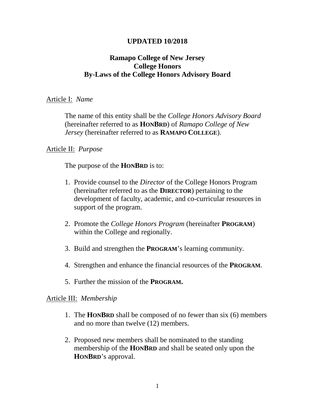#### **UPDATED 10/2018**

## **Ramapo College of New Jersey College Honors By-Laws of the College Honors Advisory Board**

#### Article I: *Name*

The name of this entity shall be the *College Honors Advisory Board* (hereinafter referred to as **HONBRD**) of *Ramapo College of New Jersey* (hereinafter referred to as **RAMAPO COLLEGE**).

#### Article II: *Purpose*

The purpose of the **HONBRD** is to:

- 1. Provide counsel to the *Director* of the College Honors Program (hereinafter referred to as the **DIRECTOR**) pertaining to the development of faculty, academic, and co-curricular resources in support of the program.
- 2. Promote the *College Honors Program* (hereinafter **PROGRAM**) within the College and regionally.
- 3. Build and strengthen the **PROGRAM**'s learning community.
- 4. Strengthen and enhance the financial resources of the **PROGRAM**.
- 5. Further the mission of the **PROGRAM.**

#### Article III: *Membership*

- 1. The **HONBRD** shall be composed of no fewer than six (6) members and no more than twelve (12) members.
- 2. Proposed new members shall be nominated to the standing membership of the **HONBRD** and shall be seated only upon the **HONBRD**'s approval.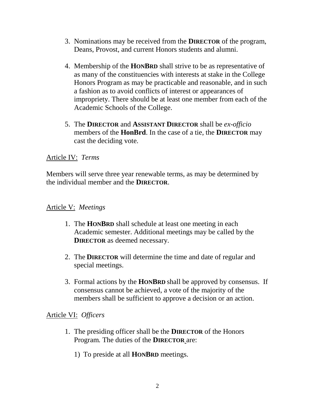- 3. Nominations may be received from the **DIRECTOR** of the program, Deans, Provost, and current Honors students and alumni.
- 4. Membership of the **HONBRD** shall strive to be as representative of as many of the constituencies with interests at stake in the College Honors Program as may be practicable and reasonable, and in such a fashion as to avoid conflicts of interest or appearances of impropriety. There should be at least one member from each of the Academic Schools of the College.
- 5. The **DIRECTOR** and **ASSISTANT DIRECTOR** shall be *ex-officio* members of the **HonBrd**. In the case of a tie, the **DIRECTOR** may cast the deciding vote.

## Article IV: *Terms*

Members will serve three year renewable terms, as may be determined by the individual member and the **DIRECTOR**.

### Article V: *Meetings*

- 1. The **HONBRD** shall schedule at least one meeting in each Academic semester. Additional meetings may be called by the **DIRECTOR** as deemed necessary.
- 2. The **DIRECTOR** will determine the time and date of regular and special meetings.
- 3. Formal actions by the **HONBRD** shall be approved by consensus. If consensus cannot be achieved, a vote of the majority of the members shall be sufficient to approve a decision or an action.

#### Article VI: *Officers*

- 1. The presiding officer shall be the **DIRECTOR** of the Honors Program*.* The duties of the **DIRECTOR** are:
	- 1) To preside at all **HONBRD** meetings.